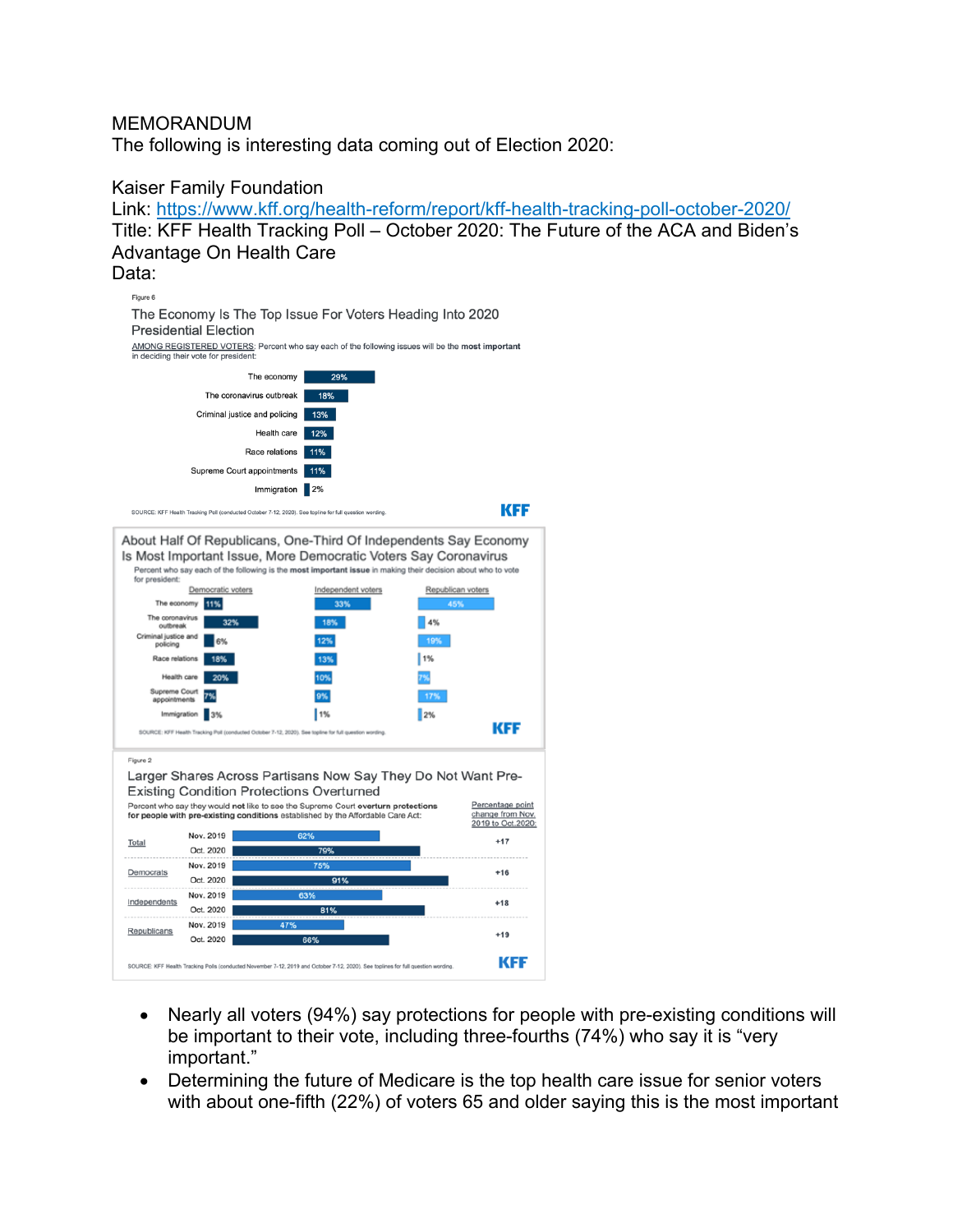#### MEMORANDUM

The following is interesting data coming out of Election 2020:

#### Kaiser Family Foundation Link: https://www.kff.org/health-reform/report/kff-health-tracking-poll-october-2020/ Title: KFF Health Tracking Poll – October 2020: The Future of the ACA and Biden's Advantage On Health Care Data: Figure 6 The Economy Is The Top Issue For Voters Heading Into 2020 **Presidential Election** AMONG REGISTERED VOTERS: Percent who say each of the following issues will be the most important in deciding their vote for president The economy 29% The coronavirus outbreak 18% Criminal justice and policing 13% Health care 12% Race relations 11% Supreme Court appointments 11% Immigration 2% KFF SOURCE: KFF Health Tracking Poll (conducted October 7-12, 2020). See topline for full question wording About Half Of Republicans, One-Third Of Independents Say Economy Is Most Important Issue, More Democratic Voters Say Coronavirus Percent who say each of the following is the most important issue in making their decision about who to vote<br>for president: Democratic voters Independent voters Republican voters The economy 11%  $33\%$ The coronavirus | 4% 32% 18% nal justice and<br>policing 12% Race relations 18% 13% 1% Health care 10% Supreme Court<br>appointments 9% Immigration 3% 1% 2% **KFF** SOURCE: KFF He ter 7-12, 2020). See topline for full quest Figure 2 Larger Shares Across Partisans Now Say They Do Not Want Pre-**Existing Condition Protections Overturned** Percent who say they would not like to see the Supreme Court overturn protections Percentage point for people with pre-existing conditions established by the Affordable Care Act: change from Nov. 2019 to Oct.2020: Nov. 2019  $+17$ Total Oct. 2020 Nov. 2019  $+16$ Democrats Oct. 2020 91% Nov. 2019 Independents  $+18$ Oct. 2020 Nov. 2019 Republicans  $+19$ Oct. 2020 **KFF** mber 7-12, 2019 and October 7-12, 2020). See toplines for full question wording SOURCE: KFF Health Tracking Polls (conducted No

- Nearly all voters (94%) say protections for people with pre-existing conditions will be important to their vote, including three-fourths (74%) who say it is "very important."
- Determining the future of Medicare is the top health care issue for senior voters with about one-fifth (22%) of voters 65 and older saying this is the most important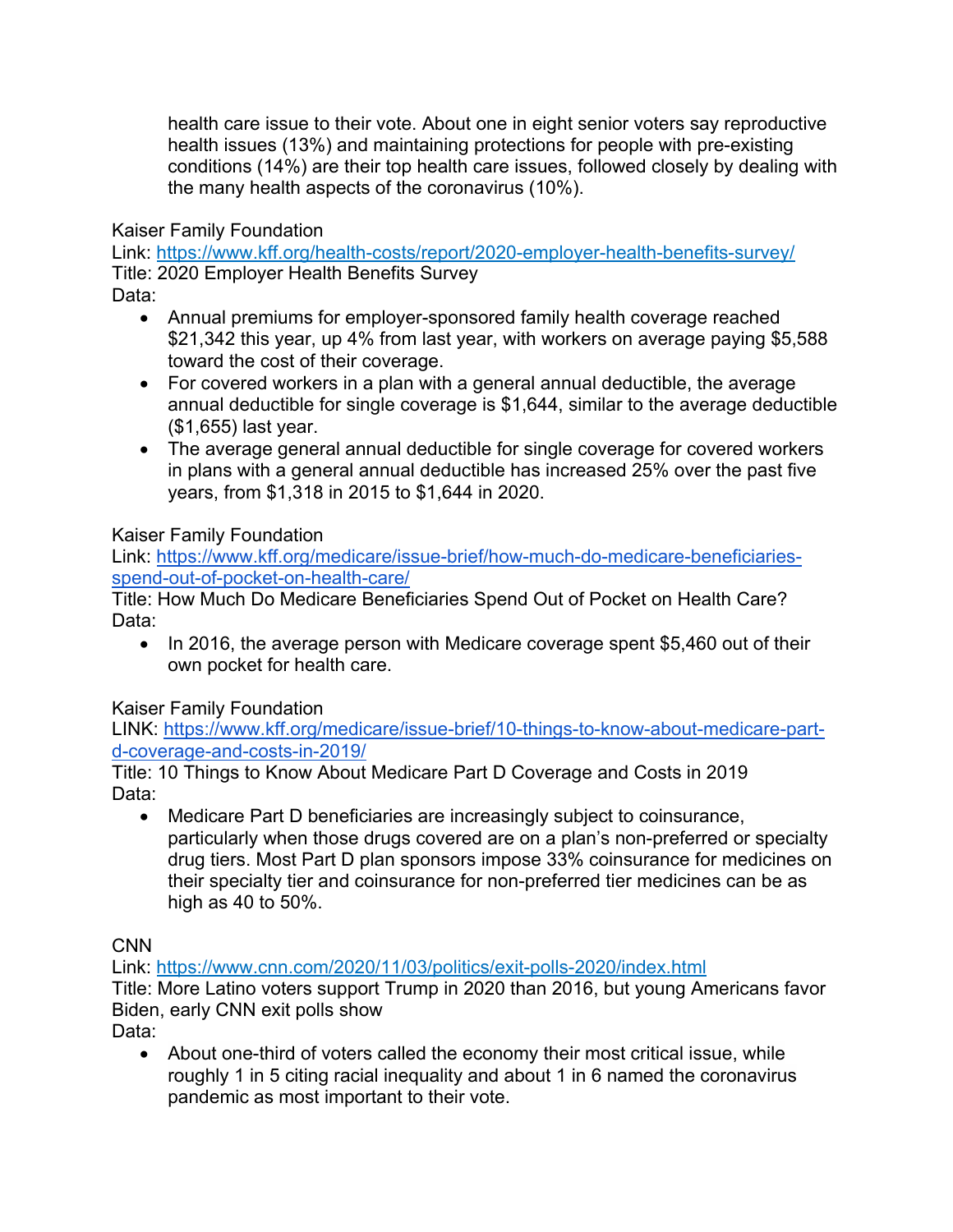health care issue to their vote. About one in eight senior voters say reproductive health issues (13%) and maintaining protections for people with pre-existing conditions (14%) are their top health care issues, followed closely by dealing with the many health aspects of the coronavirus (10%).

Kaiser Family Foundation

Link: https://www.kff.org/health-costs/report/2020-employer-health-benefits-survey/ Title: 2020 Employer Health Benefits Survey

Data:

- Annual premiums for employer-sponsored family health coverage reached \$21,342 this year, up 4% from last year, with workers on average paying \$5,588 toward the cost of their coverage.
- For covered workers in a plan with a general annual deductible, the average annual deductible for single coverage is \$1,644, similar to the average deductible (\$1,655) last year.
- The average general annual deductible for single coverage for covered workers in plans with a general annual deductible has increased 25% over the past five years, from \$1,318 in 2015 to \$1,644 in 2020.

Kaiser Family Foundation

Link: https://www.kff.org/medicare/issue-brief/how-much-do-medicare-beneficiariesspend-out-of-pocket-on-health-care/

Title: How Much Do Medicare Beneficiaries Spend Out of Pocket on Health Care? Data:

• In 2016, the average person with Medicare coverage spent \$5,460 out of their own pocket for health care.

Kaiser Family Foundation

LINK: https://www.kff.org/medicare/issue-brief/10-things-to-know-about-medicare-partd-coverage-and-costs-in-2019/

Title: 10 Things to Know About Medicare Part D Coverage and Costs in 2019 Data:

• Medicare Part D beneficiaries are increasingly subject to coinsurance, particularly when those drugs covered are on a plan's non-preferred or specialty drug tiers. Most Part D plan sponsors impose 33% coinsurance for medicines on their specialty tier and coinsurance for non-preferred tier medicines can be as high as 40 to 50%.

CNN

Link: https://www.cnn.com/2020/11/03/politics/exit-polls-2020/index.html Title: More Latino voters support Trump in 2020 than 2016, but young Americans favor Biden, early CNN exit polls show

Data:

• About one-third of voters called the economy their most critical issue, while roughly 1 in 5 citing racial inequality and about 1 in 6 named the coronavirus pandemic as most important to their vote.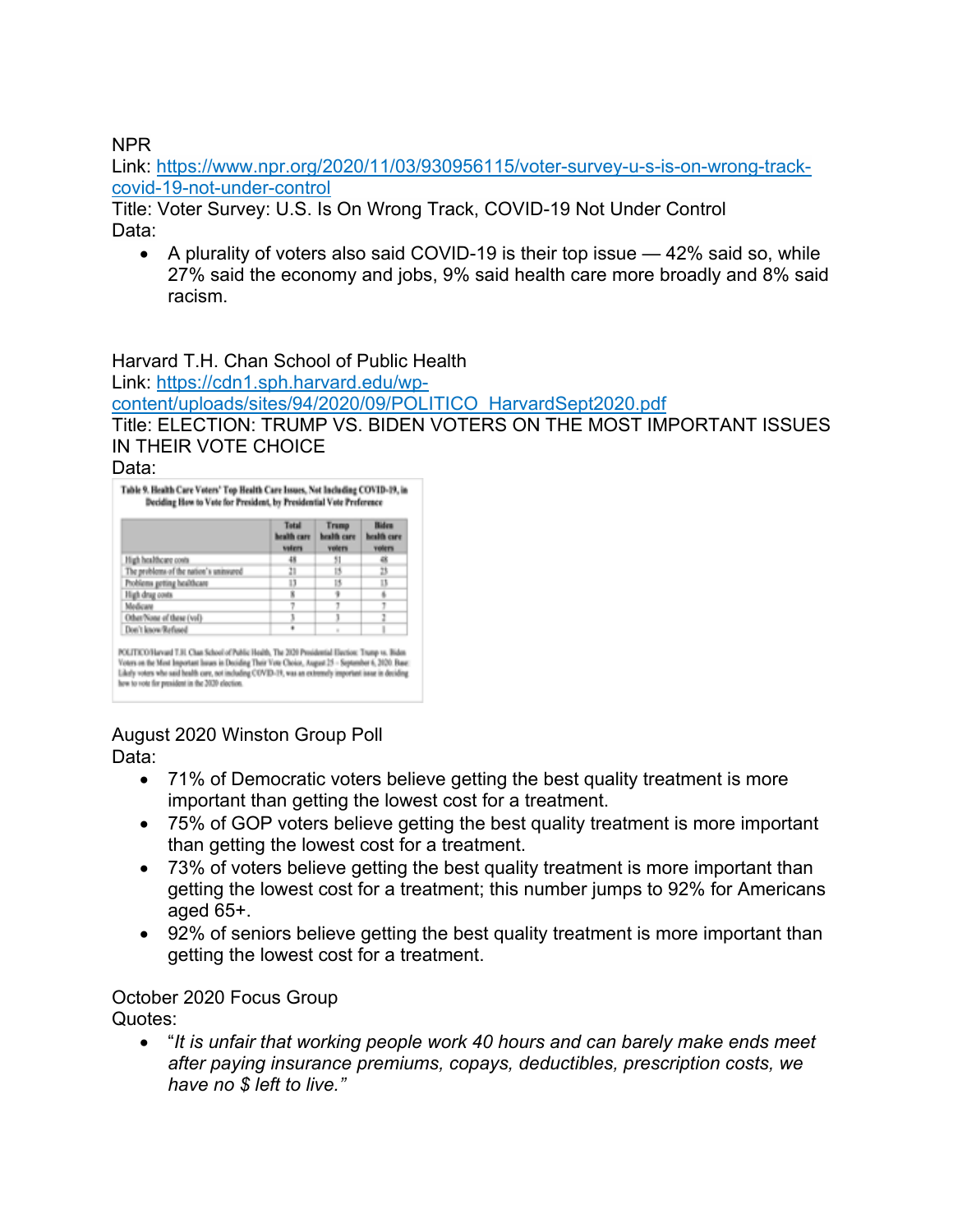NPR

Link: https://www.npr.org/2020/11/03/930956115/voter-survey-u-s-is-on-wrong-trackcovid-19-not-under-control

Title: Voter Survey: U.S. Is On Wrong Track, COVID-19 Not Under Control Data:

• A plurality of voters also said COVID-19 is their top issue — 42% said so, while 27% said the economy and jobs, 9% said health care more broadly and 8% said racism.

Harvard T.H. Chan School of Public Health Link: https://cdn1.sph.harvard.edu/wpcontent/uploads/sites/94/2020/09/POLITICO\_HarvardSept2020.pdf Title: ELECTION: TRUMP VS. BIDEN VOTERS ON THE MOST IMPORTANT ISSUES

IN THEIR VOTE CHOICE

Data:

|                                        | Total<br>health care<br>valent | Trump<br>health care<br>voters | <b>Hiden</b><br>health care<br><b>voters</b> |
|----------------------------------------|--------------------------------|--------------------------------|----------------------------------------------|
| High healthcare costs                  | 48                             | 51                             | 48                                           |
| The problems of the nation's uninsured | 21                             | 15                             | 25                                           |
| Problems getting healthcare            | 13                             | 15                             | в                                            |
| High drug costs                        | ×                              |                                | ä                                            |
| Medicare                               |                                |                                |                                              |
| Other/Notar of these (vol)             |                                |                                |                                              |
| Don't know Refused                     |                                |                                |                                              |

August 2020 Winston Group Poll Data:

- 71% of Democratic voters believe getting the best quality treatment is more important than getting the lowest cost for a treatment.
- 75% of GOP voters believe getting the best quality treatment is more important than getting the lowest cost for a treatment.
- 73% of voters believe getting the best quality treatment is more important than getting the lowest cost for a treatment; this number jumps to 92% for Americans aged 65+.
- 92% of seniors believe getting the best quality treatment is more important than getting the lowest cost for a treatment.

# October 2020 Focus Group

Quotes:

• "*It is unfair that working people work 40 hours and can barely make ends meet after paying insurance premiums, copays, deductibles, prescription costs, we have no \$ left to live."*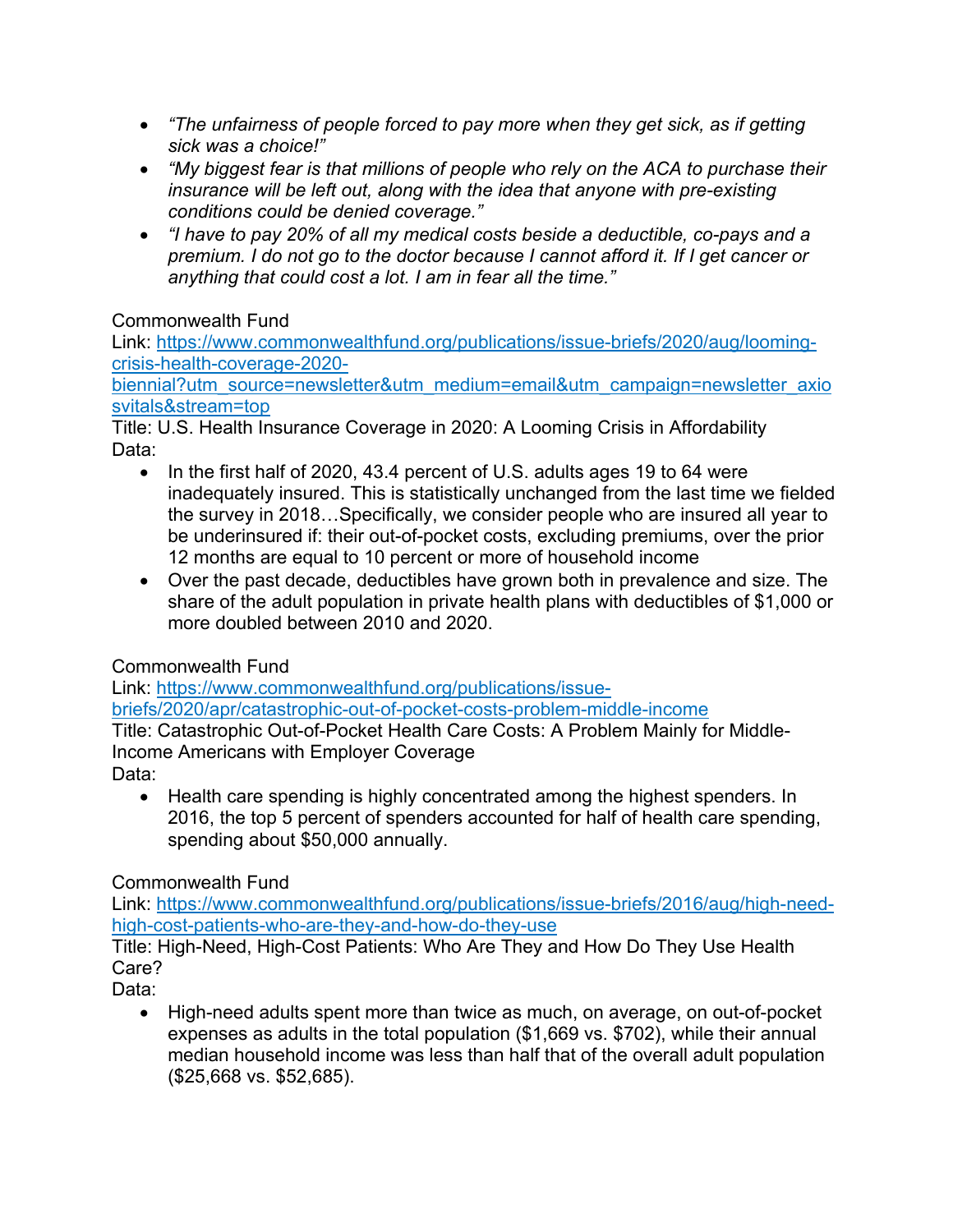- *"The unfairness of people forced to pay more when they get sick, as if getting sick was a choice!"*
- *"My biggest fear is that millions of people who rely on the ACA to purchase their insurance will be left out, along with the idea that anyone with pre-existing conditions could be denied coverage."*
- *"I have to pay 20% of all my medical costs beside a deductible, co-pays and a premium. I do not go to the doctor because I cannot afford it. If I get cancer or anything that could cost a lot. I am in fear all the time."*

# Commonwealth Fund

Link: https://www.commonwealthfund.org/publications/issue-briefs/2020/aug/loomingcrisis-health-coverage-2020-

biennial?utm\_source=newsletter&utm\_medium=email&utm\_campaign=newsletter\_axio svitals&stream=top

Title: U.S. Health Insurance Coverage in 2020: A Looming Crisis in Affordability Data:

- In the first half of 2020, 43.4 percent of U.S. adults ages 19 to 64 were inadequately insured. This is statistically unchanged from the last time we fielded the survey in 2018…Specifically, we consider people who are insured all year to be underinsured if: their out-of-pocket costs, excluding premiums, over the prior 12 months are equal to 10 percent or more of household income
- Over the past decade, deductibles have grown both in prevalence and size. The share of the adult population in private health plans with deductibles of \$1,000 or more doubled between 2010 and 2020.

# Commonwealth Fund

Link: https://www.commonwealthfund.org/publications/issuebriefs/2020/apr/catastrophic-out-of-pocket-costs-problem-middle-income

Title: Catastrophic Out-of-Pocket Health Care Costs: A Problem Mainly for Middle-Income Americans with Employer Coverage

Data:

• Health care spending is highly concentrated among the highest spenders. In 2016, the top 5 percent of spenders accounted for half of health care spending, spending about \$50,000 annually.

# Commonwealth Fund

Link: https://www.commonwealthfund.org/publications/issue-briefs/2016/aug/high-needhigh-cost-patients-who-are-they-and-how-do-they-use

Title: High-Need, High-Cost Patients: Who Are They and How Do They Use Health Care?

Data:

• High-need adults spent more than twice as much, on average, on out-of-pocket expenses as adults in the total population (\$1,669 vs. \$702), while their annual median household income was less than half that of the overall adult population (\$25,668 vs. \$52,685).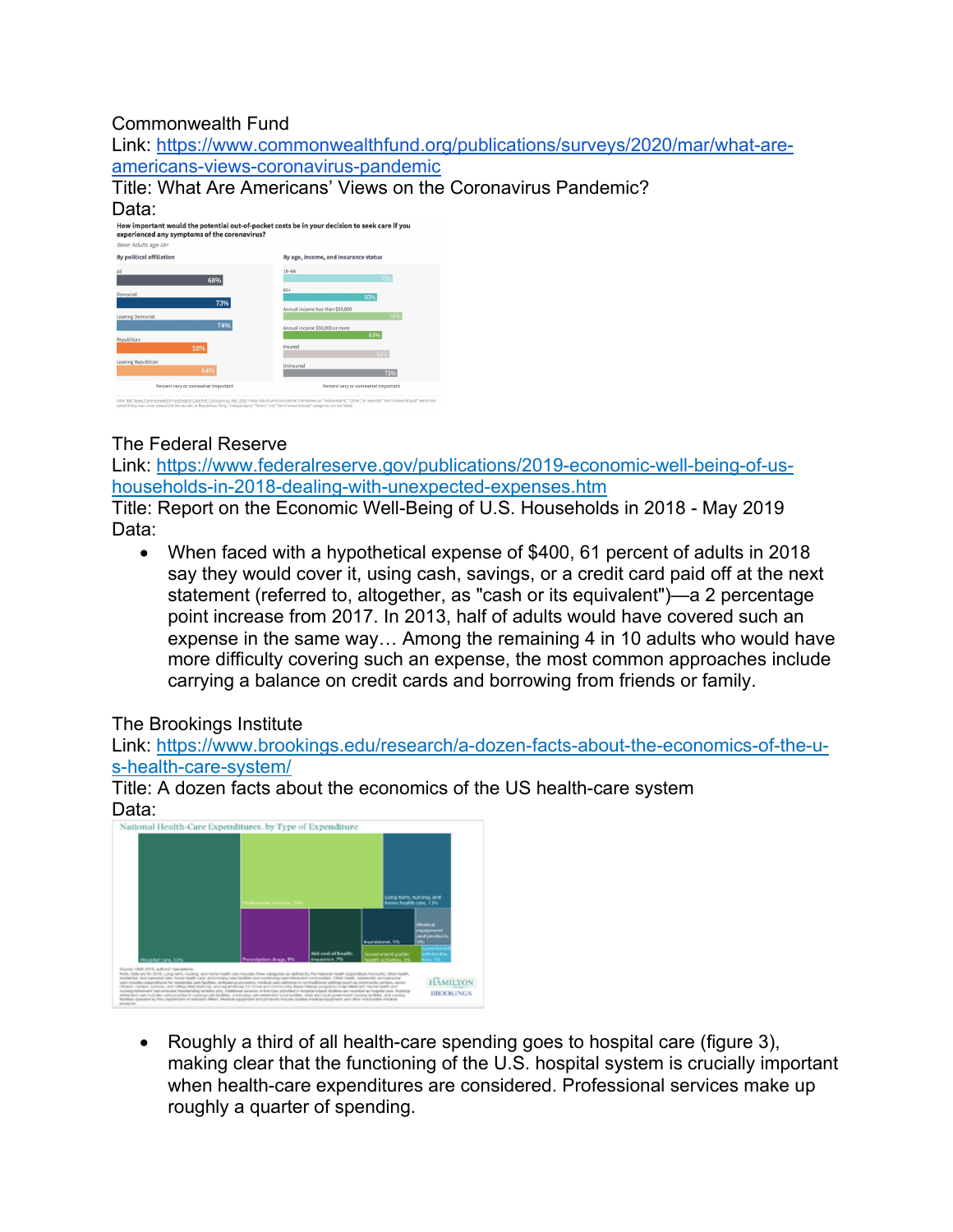# Commonwealth Fund

Link: https://www.commonwealthfund.org/publications/surveys/2020/mar/what-areamericans-views-coronavirus-pandemic

Title: What Are Americans' Views on the Coronavirus Pandemic? Data:

| experienced any symptoms of the coronavirus? | How important would the potential out-of-pocket costs be in your decision to seek care if you |
|----------------------------------------------|-----------------------------------------------------------------------------------------------|
| Base: Adults age 18+                         |                                                                                               |
| <b>By political affiliation</b>              | By age, income, and insurance status                                                          |
| AII<br>68%                                   | 18-64<br>70%                                                                                  |
| Democrat<br>73%                              | 65+<br>60%                                                                                    |
| <b>Leaning Democrat</b><br>74%               | Annual income less than \$50,000<br>76%                                                       |
| Republican                                   | Annual income \$50,000 or more<br>63%                                                         |
| 58%                                          | Insured<br>68%                                                                                |
| Leaning Republican<br>64%                    | Uninsured<br>73%                                                                              |
| Percent very or somewhat important           | Percent very or somewhat important                                                            |

#### The Federal Reserve

Link: https://www.federalreserve.gov/publications/2019-economic-well-being-of-ushouseholds-in-2018-dealing-with-unexpected-expenses.htm

Title: Report on the Economic Well-Being of U.S. Households in 2018 - May 2019 Data:

• When faced with a hypothetical expense of \$400, 61 percent of adults in 2018 say they would cover it, using cash, savings, or a credit card paid off at the next statement (referred to, altogether, as "cash or its equivalent")—a 2 percentage point increase from 2017. In 2013, half of adults would have covered such an expense in the same way… Among the remaining 4 in 10 adults who would have more difficulty covering such an expense, the most common approaches include carrying a balance on credit cards and borrowing from friends or family.

#### The Brookings Institute

Link: https://www.brookings.edu/research/a-dozen-facts-about-the-economics-of-the-us-health-care-system/

Title: A dozen facts about the economics of the US health-care system Data: National Health-Care Expenditures, by Type of Expenditure



• Roughly a third of all health-care spending goes to hospital care (figure 3), making clear that the functioning of the U.S. hospital system is crucially important when health-care expenditures are considered. Professional services make up roughly a quarter of spending.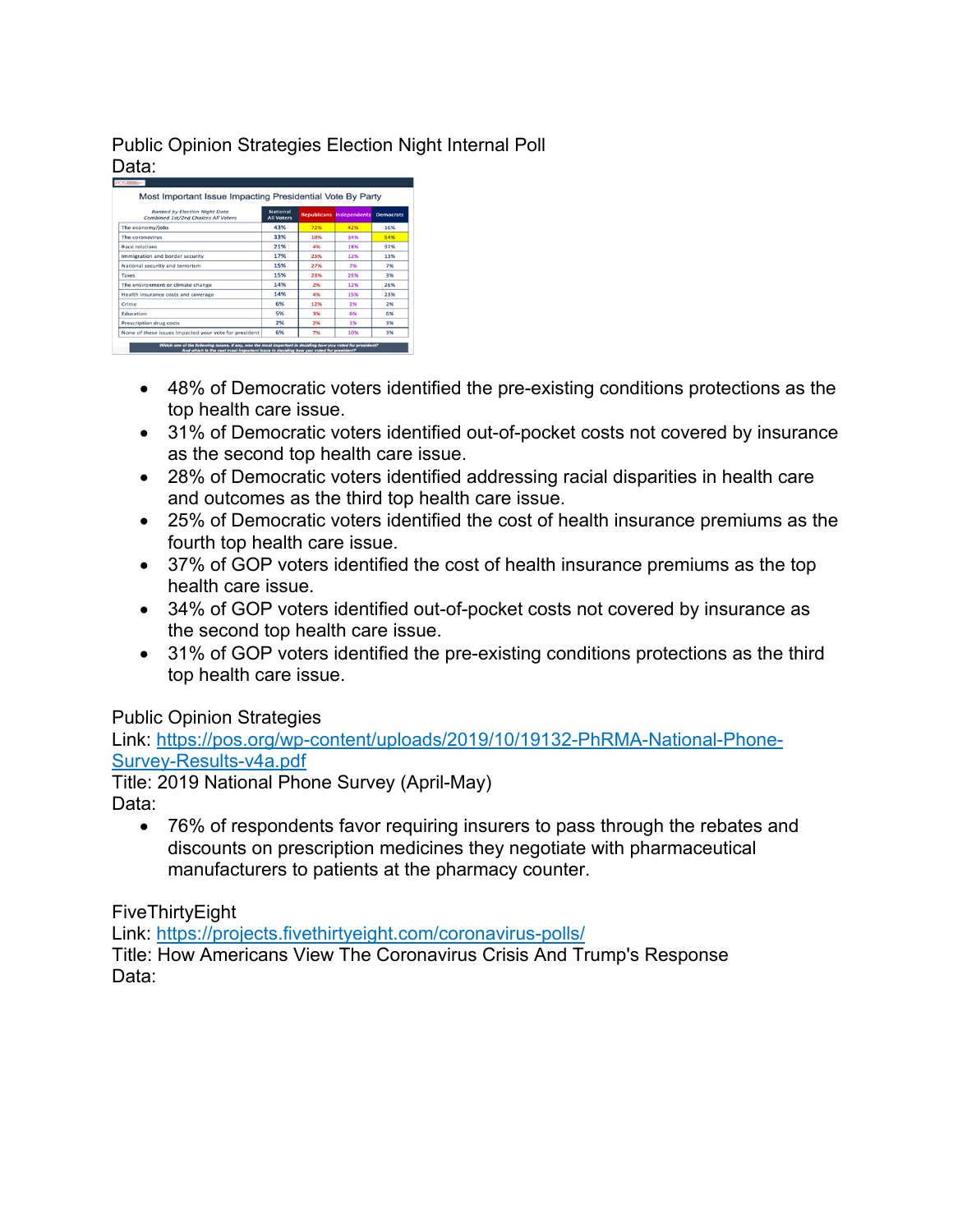Public Opinion Strategies Election Night Internal Poll Data:

| Ranked by Election Night Data<br>Combined 1st/2nd Choices All Voters | <b>National</b><br><b>All Voters</b> |     | <b>Republicans Independents</b> | <b>Democrats</b> |
|----------------------------------------------------------------------|--------------------------------------|-----|---------------------------------|------------------|
| The economy/jobs                                                     | 43%                                  | 72% | 42%                             | 16%              |
| The coronavirus                                                      | 33%                                  | 10% | 34%                             | 54%              |
| <b>Race relations</b>                                                | 21%                                  | 4%  | 18%                             | 37%              |
| Immigration and border security                                      | 17%                                  | 23% | 12%                             | 13%              |
| National security and terrorism                                      | 15%                                  | 27% | 7%                              | 7%               |
| Taxes                                                                | 15%                                  | 23% | 25%                             | 3%               |
| The environment or climate change                                    | 14%                                  | 2%  | 12%                             | 26%              |
| Health insurance costs and coverage                                  | 14%                                  | 4%  | 15%                             | 23%              |
| Crime                                                                | 6%                                   | 12% | 2%                              | 2%               |
| <b>Education</b>                                                     | 5%                                   | 3%  | 6%                              | 6%               |
| Prescription drug costs                                              | 2%                                   | 2%  | 1%                              | 3%               |
| None of these issues impacted your vote for president                | 6%                                   | 7%  | 10%                             | 3%               |

- 48% of Democratic voters identified the pre-existing conditions protections as the top health care issue.
- 31% of Democratic voters identified out-of-pocket costs not covered by insurance as the second top health care issue.
- 28% of Democratic voters identified addressing racial disparities in health care and outcomes as the third top health care issue.
- 25% of Democratic voters identified the cost of health insurance premiums as the fourth top health care issue.
- 37% of GOP voters identified the cost of health insurance premiums as the top health care issue.
- 34% of GOP voters identified out-of-pocket costs not covered by insurance as the second top health care issue.
- 31% of GOP voters identified the pre-existing conditions protections as the third top health care issue.

Public Opinion Strategies

Link: https://pos.org/wp-content/uploads/2019/10/19132-PhRMA-National-Phone-Survey-Results-v4a.pdf

Title: 2019 National Phone Survey (April-May) Data:

• 76% of respondents favor requiring insurers to pass through the rebates and discounts on prescription medicines they negotiate with pharmaceutical manufacturers to patients at the pharmacy counter.

FiveThirtyEight

Link: https://projects.fivethirtyeight.com/coronavirus-polls/

Title: How Americans View The Coronavirus Crisis And Trump's Response Data: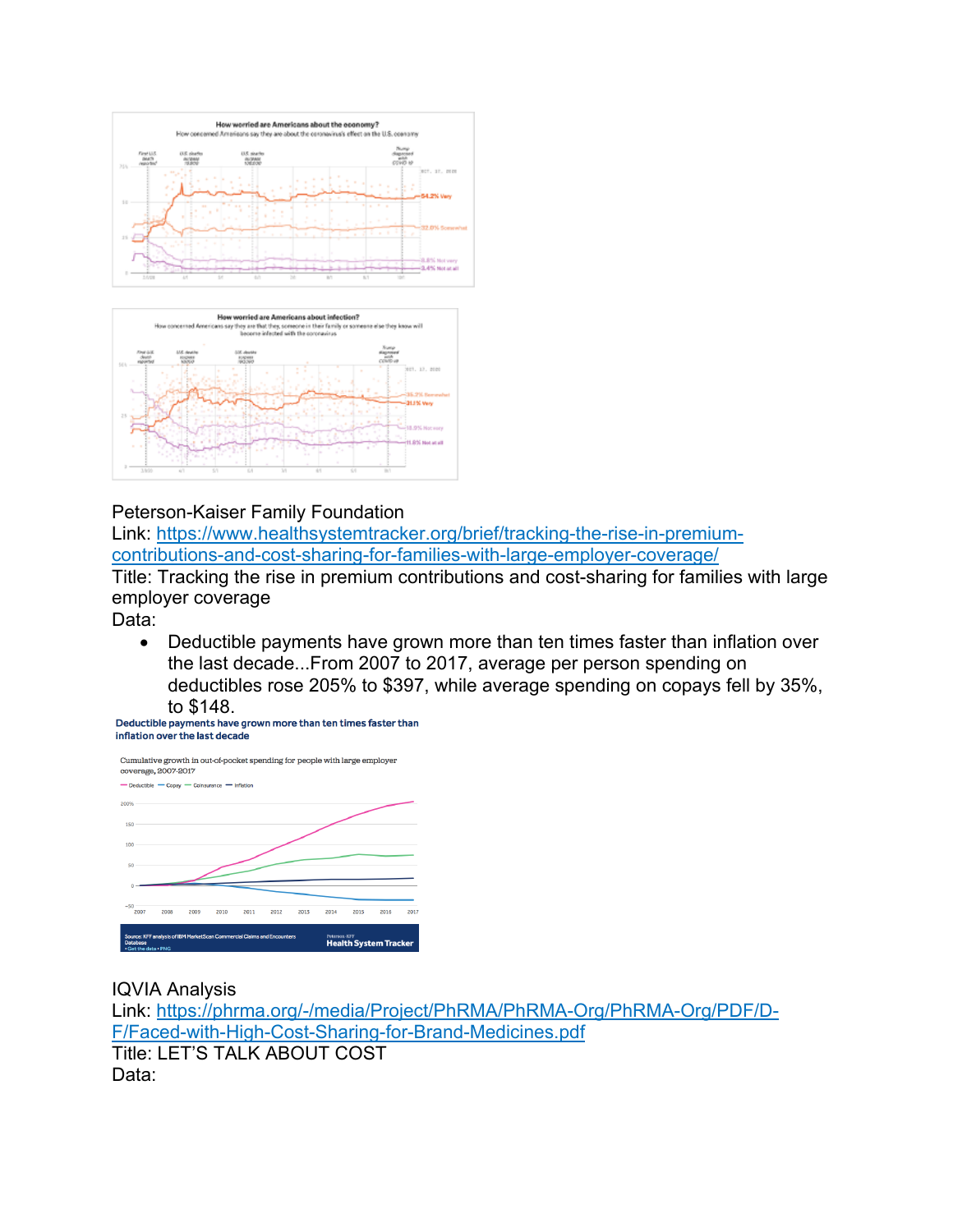



#### Peterson-Kaiser Family Foundation

Link: https://www.healthsystemtracker.org/brief/tracking-the-rise-in-premiumcontributions-and-cost-sharing-for-families-with-large-employer-coverage/ Title: Tracking the rise in premium contributions and cost-sharing for families with large employer coverage

Data:

• Deductible payments have grown more than ten times faster than inflation over the last decade...From 2007 to 2017, average per person spending on deductibles rose 205% to \$397, while average spending on copays fell by 35%, to \$148.<br>Deductible payments have grown more than ten times faster than

inflation over the last decade



#### IQVIA Analysis

Link: https://phrma.org/-/media/Project/PhRMA/PhRMA-Org/PhRMA-Org/PDF/D-F/Faced-with-High-Cost-Sharing-for-Brand-Medicines.pdf Title: LET'S TALK ABOUT COST Data: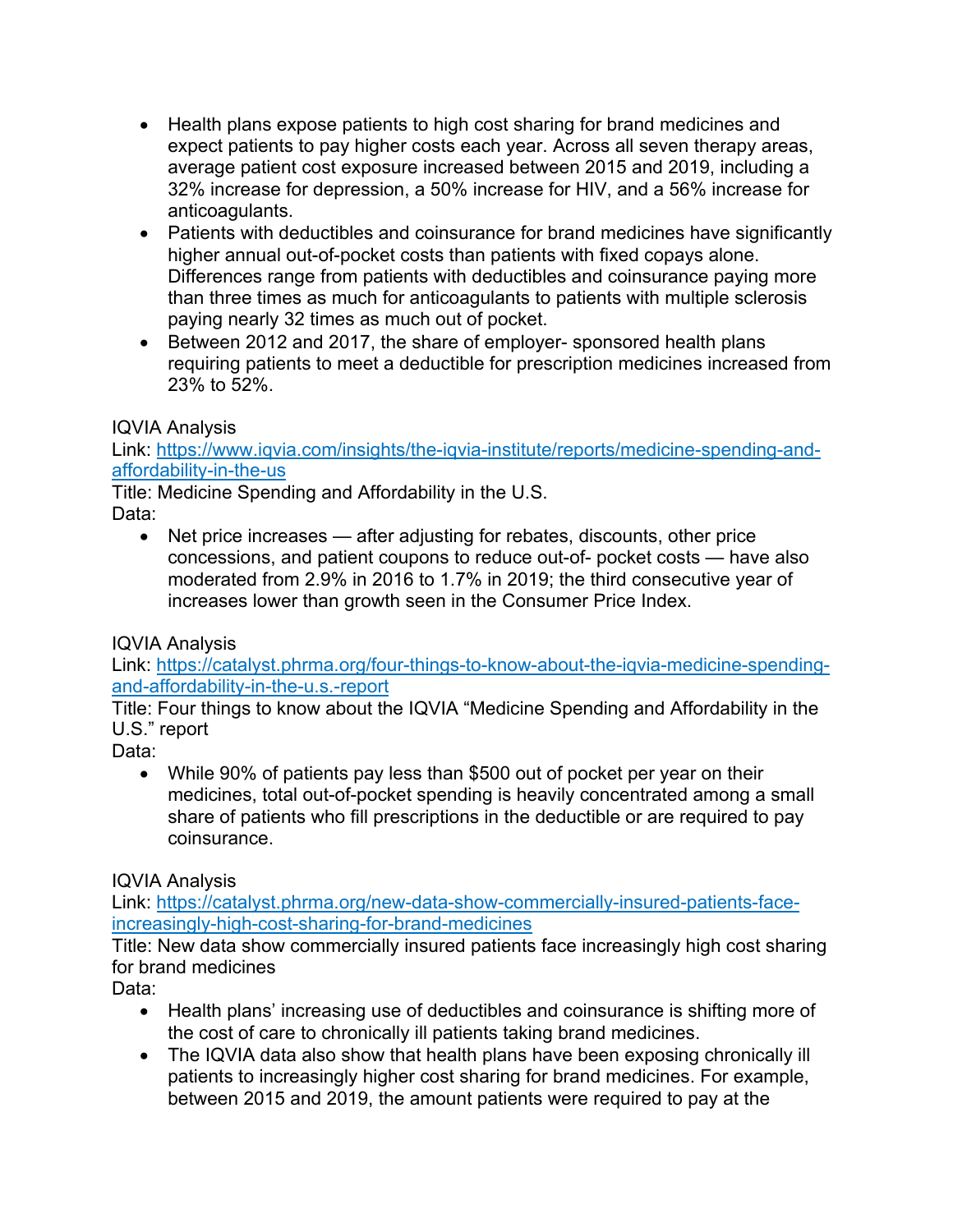- Health plans expose patients to high cost sharing for brand medicines and expect patients to pay higher costs each year. Across all seven therapy areas, average patient cost exposure increased between 2015 and 2019, including a 32% increase for depression, a 50% increase for HIV, and a 56% increase for anticoagulants.
- Patients with deductibles and coinsurance for brand medicines have significantly higher annual out-of-pocket costs than patients with fixed copays alone. Differences range from patients with deductibles and coinsurance paying more than three times as much for anticoagulants to patients with multiple sclerosis paying nearly 32 times as much out of pocket.
- Between 2012 and 2017, the share of employer- sponsored health plans requiring patients to meet a deductible for prescription medicines increased from 23% to 52%.

# IQVIA Analysis

Link: https://www.iqvia.com/insights/the-iqvia-institute/reports/medicine-spending-andaffordability-in-the-us

Title: Medicine Spending and Affordability in the U.S. Data:

• Net price increases — after adjusting for rebates, discounts, other price concessions, and patient coupons to reduce out-of- pocket costs — have also moderated from 2.9% in 2016 to 1.7% in 2019; the third consecutive year of increases lower than growth seen in the Consumer Price Index.

# IQVIA Analysis

Link: https://catalyst.phrma.org/four-things-to-know-about-the-iqvia-medicine-spendingand-affordability-in-the-u.s.-report

Title: Four things to know about the IQVIA "Medicine Spending and Affordability in the U.S." report

Data:

• While 90% of patients pay less than \$500 out of pocket per year on their medicines, total out-of-pocket spending is heavily concentrated among a small share of patients who fill prescriptions in the deductible or are required to pay coinsurance.

# IQVIA Analysis

Link: https://catalyst.phrma.org/new-data-show-commercially-insured-patients-faceincreasingly-high-cost-sharing-for-brand-medicines

Title: New data show commercially insured patients face increasingly high cost sharing for brand medicines

Data:

- Health plans' increasing use of deductibles and coinsurance is shifting more of the cost of care to chronically ill patients taking brand medicines.
- The IQVIA data also show that health plans have been exposing chronically ill patients to increasingly higher cost sharing for brand medicines. For example, between 2015 and 2019, the amount patients were required to pay at the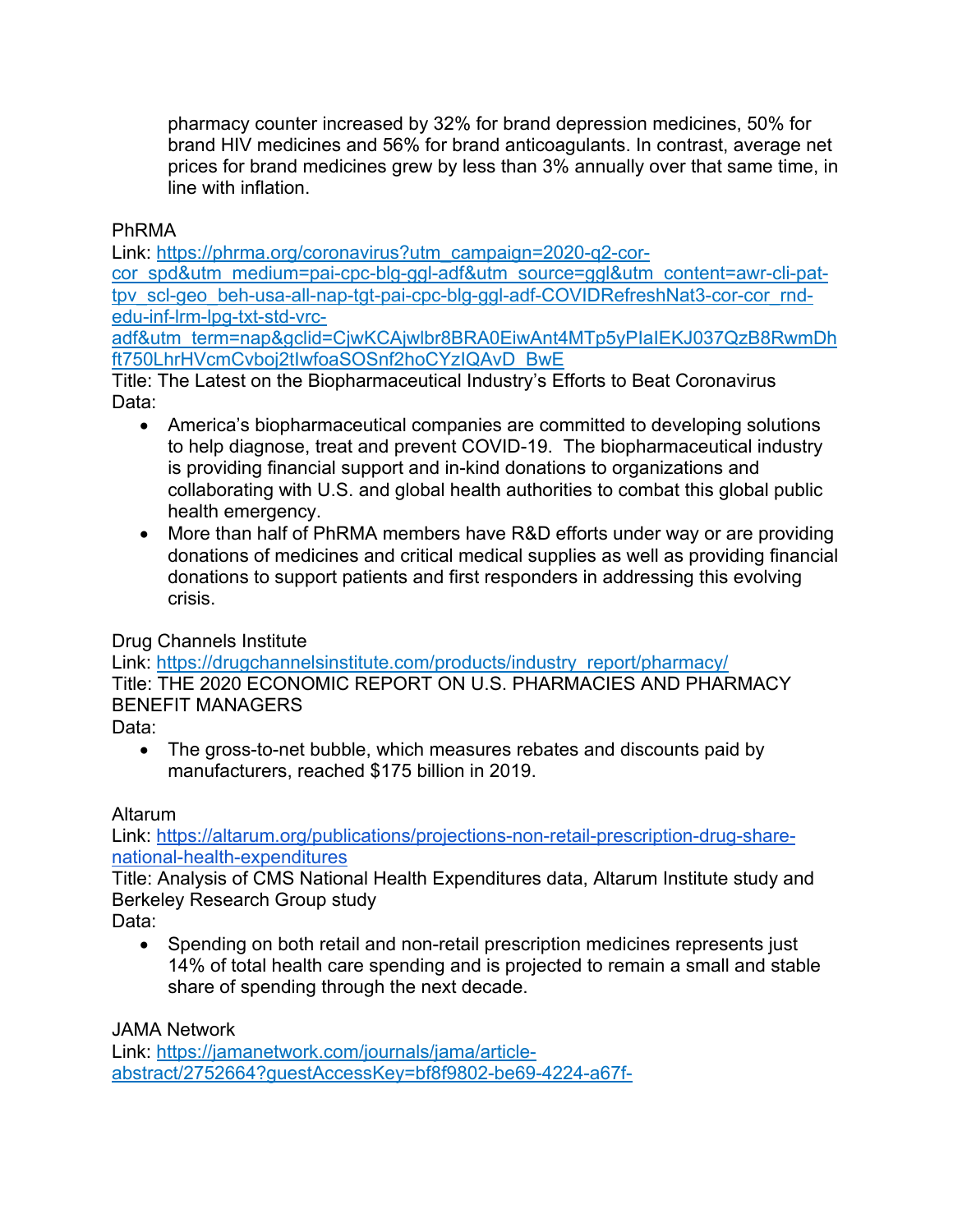pharmacy counter increased by 32% for brand depression medicines, 50% for brand HIV medicines and 56% for brand anticoagulants. In contrast, average net prices for brand medicines grew by less than 3% annually over that same time, in line with inflation.

### PhRMA

Link: https://phrma.org/coronavirus?utm\_campaign=2020-q2-corcor\_spd&utm\_medium=pai-cpc-blg-ggl-adf&utm\_source=ggl&utm\_content=awr-cli-pattpv\_scl-geo\_beh-usa-all-nap-tgt-pai-cpc-blg-ggl-adf-COVIDRefreshNat3-cor-cor\_rndedu-inf-lrm-lpg-txt-std-vrc-

adf&utm\_term=nap&gclid=CjwKCAjwlbr8BRA0EiwAnt4MTp5yPIaIEKJ037QzB8RwmDh ft750LhrHVcmCvboj2tIwfoaSOSnf2hoCYzIQAvD\_BwE

Title: The Latest on the Biopharmaceutical Industry's Efforts to Beat Coronavirus Data:

- America's biopharmaceutical companies are committed to developing solutions to help diagnose, treat and prevent COVID-19. The biopharmaceutical industry is providing financial support and in-kind donations to organizations and collaborating with U.S. and global health authorities to combat this global public health emergency.
- More than half of PhRMA members have R&D efforts under way or are providing donations of medicines and critical medical supplies as well as providing financial donations to support patients and first responders in addressing this evolving crisis.

# Drug Channels Institute

Link: https://drugchannelsinstitute.com/products/industry\_report/pharmacy/ Title: THE 2020 ECONOMIC REPORT ON U.S. PHARMACIES AND PHARMACY BENEFIT MANAGERS

Data:

• The gross-to-net bubble, which measures rebates and discounts paid by manufacturers, reached \$175 billion in 2019.

# Altarum

Link: https://altarum.org/publications/projections-non-retail-prescription-drug-sharenational-health-expenditures

Title: Analysis of CMS National Health Expenditures data, Altarum Institute study and Berkeley Research Group study

Data:

• Spending on both retail and non-retail prescription medicines represents just 14% of total health care spending and is projected to remain a small and stable share of spending through the next decade.

JAMA Network

Link: https://jamanetwork.com/journals/jama/articleabstract/2752664?guestAccessKey=bf8f9802-be69-4224-a67f-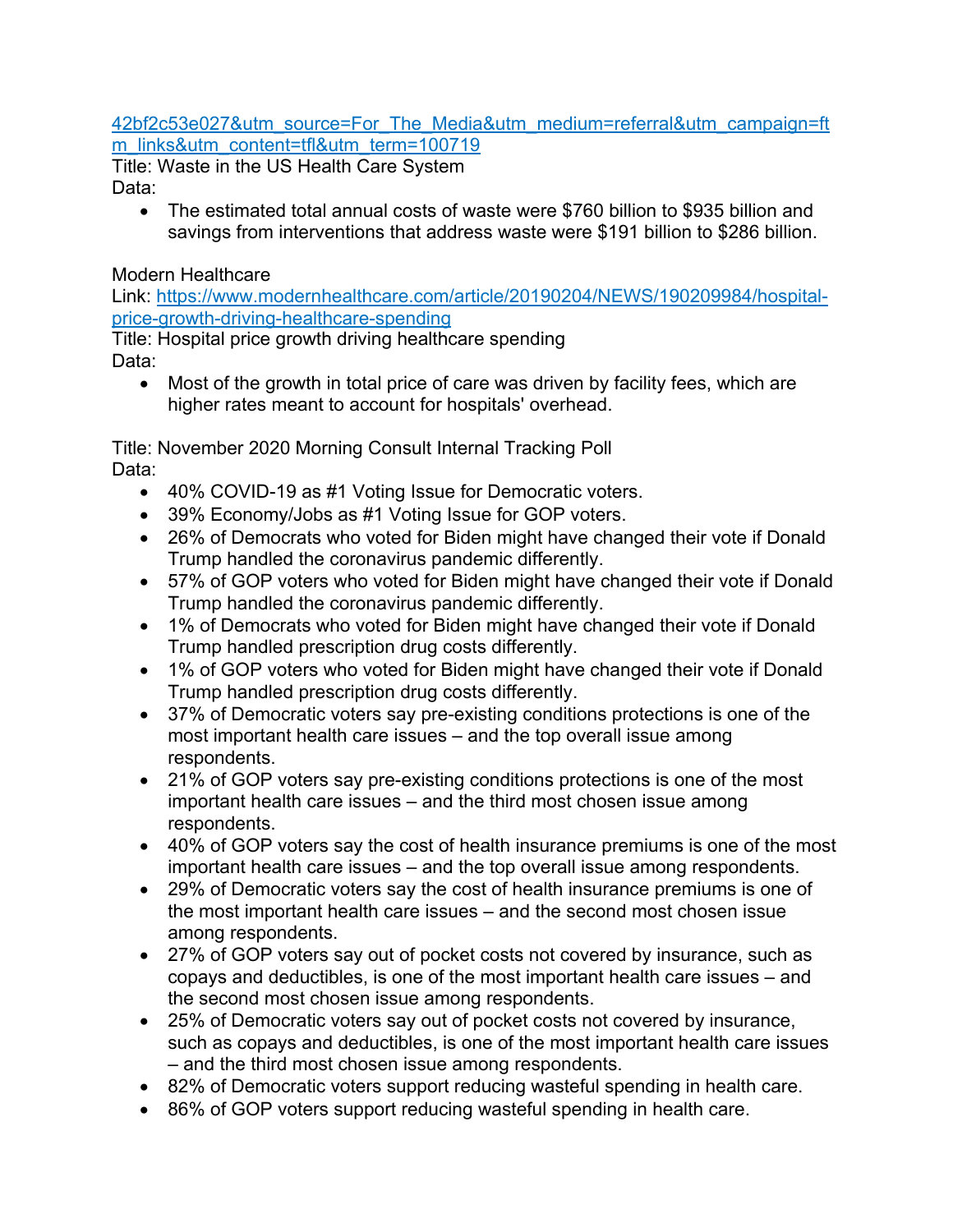#### 42bf2c53e027&utm\_source=For\_The\_Media&utm\_medium=referral&utm\_campaign=ft m\_links&utm\_content=tfl&utm\_term=100719

Title: Waste in the US Health Care System Data:

• The estimated total annual costs of waste were \$760 billion to \$935 billion and savings from interventions that address waste were \$191 billion to \$286 billion.

# Modern Healthcare

Link: https://www.modernhealthcare.com/article/20190204/NEWS/190209984/hospitalprice-growth-driving-healthcare-spending

Title: Hospital price growth driving healthcare spending Data:

• Most of the growth in total price of care was driven by facility fees, which are higher rates meant to account for hospitals' overhead.

Title: November 2020 Morning Consult Internal Tracking Poll Data:

- 40% COVID-19 as #1 Voting Issue for Democratic voters.
- 39% Economy/Jobs as #1 Voting Issue for GOP voters.
- 26% of Democrats who voted for Biden might have changed their vote if Donald Trump handled the coronavirus pandemic differently.
- 57% of GOP voters who voted for Biden might have changed their vote if Donald Trump handled the coronavirus pandemic differently.
- 1% of Democrats who voted for Biden might have changed their vote if Donald Trump handled prescription drug costs differently.
- 1% of GOP voters who voted for Biden might have changed their vote if Donald Trump handled prescription drug costs differently.
- 37% of Democratic voters say pre-existing conditions protections is one of the most important health care issues – and the top overall issue among respondents.
- 21% of GOP voters say pre-existing conditions protections is one of the most important health care issues – and the third most chosen issue among respondents.
- 40% of GOP voters say the cost of health insurance premiums is one of the most important health care issues – and the top overall issue among respondents.
- 29% of Democratic voters say the cost of health insurance premiums is one of the most important health care issues – and the second most chosen issue among respondents.
- 27% of GOP voters say out of pocket costs not covered by insurance, such as copays and deductibles, is one of the most important health care issues – and the second most chosen issue among respondents.
- 25% of Democratic voters say out of pocket costs not covered by insurance, such as copays and deductibles, is one of the most important health care issues – and the third most chosen issue among respondents.
- 82% of Democratic voters support reducing wasteful spending in health care.
- 86% of GOP voters support reducing wasteful spending in health care.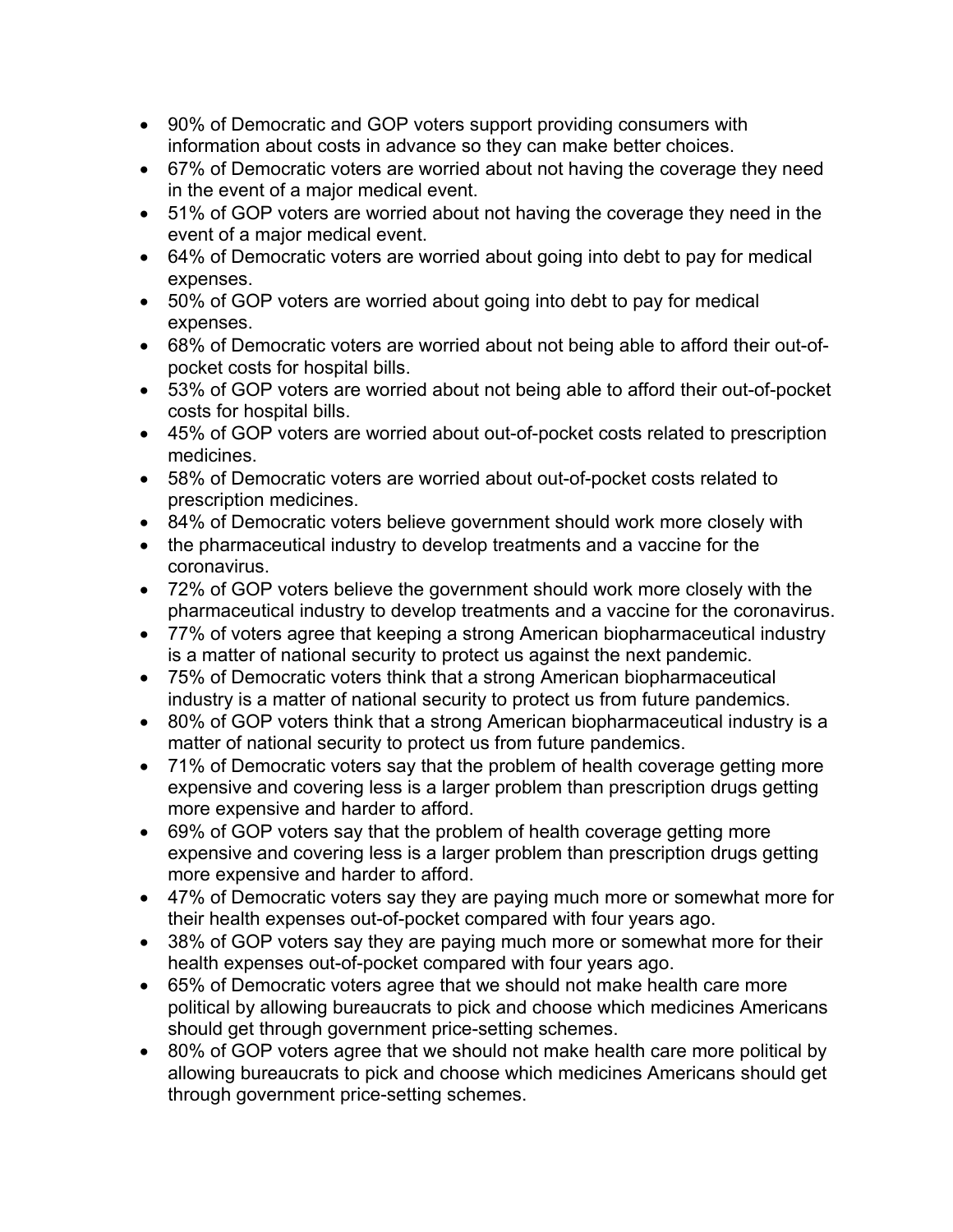- 90% of Democratic and GOP voters support providing consumers with information about costs in advance so they can make better choices.
- 67% of Democratic voters are worried about not having the coverage they need in the event of a major medical event.
- 51% of GOP voters are worried about not having the coverage they need in the event of a major medical event.
- 64% of Democratic voters are worried about going into debt to pay for medical expenses.
- 50% of GOP voters are worried about going into debt to pay for medical expenses.
- 68% of Democratic voters are worried about not being able to afford their out-ofpocket costs for hospital bills.
- 53% of GOP voters are worried about not being able to afford their out-of-pocket costs for hospital bills.
- 45% of GOP voters are worried about out-of-pocket costs related to prescription medicines.
- 58% of Democratic voters are worried about out-of-pocket costs related to prescription medicines.
- 84% of Democratic voters believe government should work more closely with
- the pharmaceutical industry to develop treatments and a vaccine for the coronavirus.
- 72% of GOP voters believe the government should work more closely with the pharmaceutical industry to develop treatments and a vaccine for the coronavirus.
- 77% of voters agree that keeping a strong American biopharmaceutical industry is a matter of national security to protect us against the next pandemic.
- 75% of Democratic voters think that a strong American biopharmaceutical industry is a matter of national security to protect us from future pandemics.
- 80% of GOP voters think that a strong American biopharmaceutical industry is a matter of national security to protect us from future pandemics.
- 71% of Democratic voters say that the problem of health coverage getting more expensive and covering less is a larger problem than prescription drugs getting more expensive and harder to afford.
- 69% of GOP voters say that the problem of health coverage getting more expensive and covering less is a larger problem than prescription drugs getting more expensive and harder to afford.
- 47% of Democratic voters say they are paying much more or somewhat more for their health expenses out-of-pocket compared with four years ago.
- 38% of GOP voters say they are paying much more or somewhat more for their health expenses out-of-pocket compared with four years ago.
- 65% of Democratic voters agree that we should not make health care more political by allowing bureaucrats to pick and choose which medicines Americans should get through government price-setting schemes.
- 80% of GOP voters agree that we should not make health care more political by allowing bureaucrats to pick and choose which medicines Americans should get through government price-setting schemes.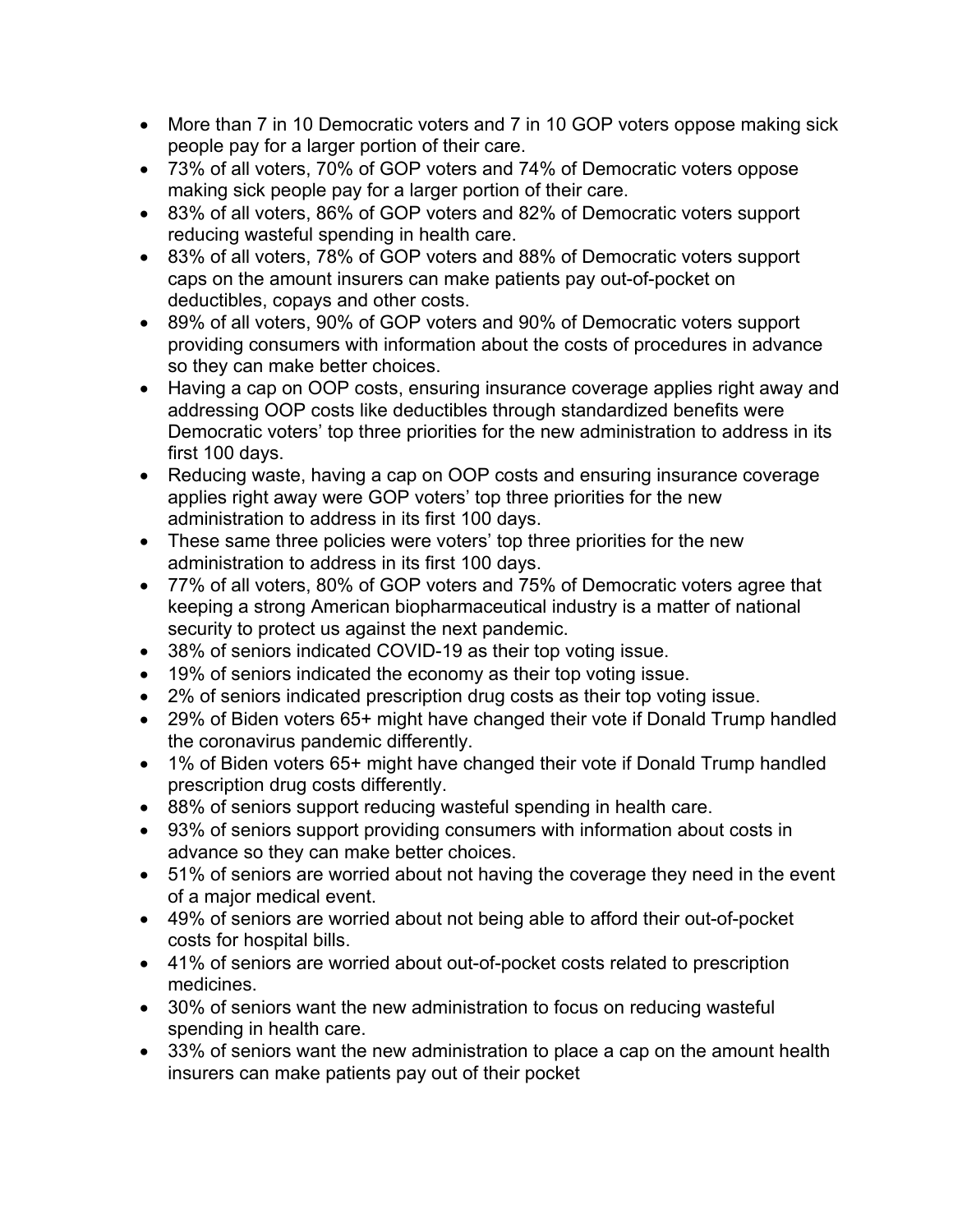- More than 7 in 10 Democratic voters and 7 in 10 GOP voters oppose making sick people pay for a larger portion of their care.
- 73% of all voters, 70% of GOP voters and 74% of Democratic voters oppose making sick people pay for a larger portion of their care.
- 83% of all voters, 86% of GOP voters and 82% of Democratic voters support reducing wasteful spending in health care.
- 83% of all voters, 78% of GOP voters and 88% of Democratic voters support caps on the amount insurers can make patients pay out-of-pocket on deductibles, copays and other costs.
- 89% of all voters, 90% of GOP voters and 90% of Democratic voters support providing consumers with information about the costs of procedures in advance so they can make better choices.
- Having a cap on OOP costs, ensuring insurance coverage applies right away and addressing OOP costs like deductibles through standardized benefits were Democratic voters' top three priorities for the new administration to address in its first 100 days.
- Reducing waste, having a cap on OOP costs and ensuring insurance coverage applies right away were GOP voters' top three priorities for the new administration to address in its first 100 days.
- These same three policies were voters' top three priorities for the new administration to address in its first 100 days.
- 77% of all voters, 80% of GOP voters and 75% of Democratic voters agree that keeping a strong American biopharmaceutical industry is a matter of national security to protect us against the next pandemic.
- 38% of seniors indicated COVID-19 as their top voting issue.
- 19% of seniors indicated the economy as their top voting issue.
- 2% of seniors indicated prescription drug costs as their top voting issue.
- 29% of Biden voters 65+ might have changed their vote if Donald Trump handled the coronavirus pandemic differently.
- 1% of Biden voters 65+ might have changed their vote if Donald Trump handled prescription drug costs differently.
- 88% of seniors support reducing wasteful spending in health care.
- 93% of seniors support providing consumers with information about costs in advance so they can make better choices.
- 51% of seniors are worried about not having the coverage they need in the event of a major medical event.
- 49% of seniors are worried about not being able to afford their out-of-pocket costs for hospital bills.
- 41% of seniors are worried about out-of-pocket costs related to prescription medicines.
- 30% of seniors want the new administration to focus on reducing wasteful spending in health care.
- 33% of seniors want the new administration to place a cap on the amount health insurers can make patients pay out of their pocket